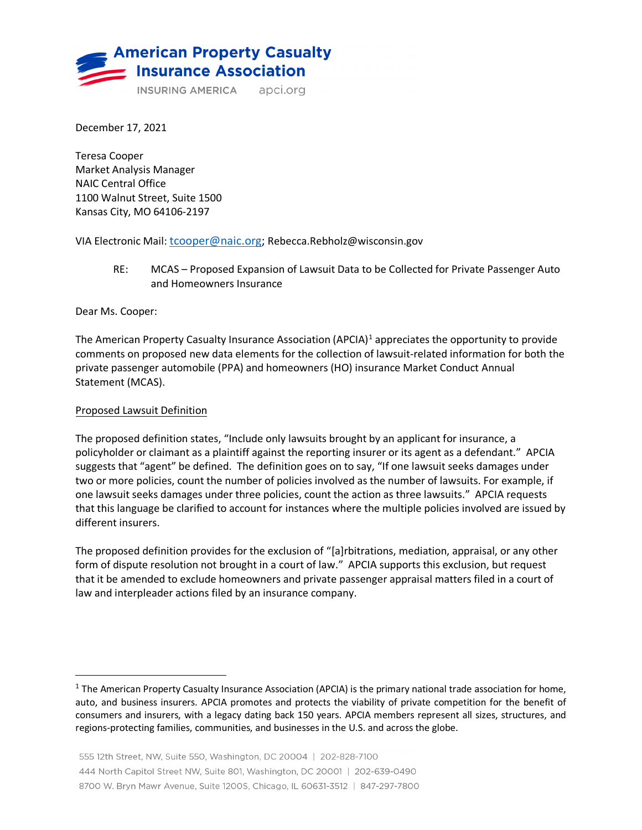

December 17, 2021

Teresa Cooper Market Analysis Manager NAIC Central Office 1100 Walnut Street, Suite 1500 Kansas City, MO 64106-2197

VIA Electronic Mail: [tcooper@naic.org;](mailto:tcooper@naic.org) Rebecca.Rebholz@wisconsin.gov

RE: MCAS – Proposed Expansion of Lawsuit Data to be Collected for Private Passenger Auto and Homeowners Insurance

Dear Ms. Cooper:

The American Property Casualty Insurance Association (APCIA)<sup>[1](#page-0-0)</sup> appreciates the opportunity to provide comments on proposed new data elements for the collection of lawsuit-related information for both the private passenger automobile (PPA) and homeowners (HO) insurance Market Conduct Annual Statement (MCAS).

## Proposed Lawsuit Definition

The proposed definition states, "Include only lawsuits brought by an applicant for insurance, a policyholder or claimant as a plaintiff against the reporting insurer or its agent as a defendant." APCIA suggests that "agent" be defined. The definition goes on to say, "If one lawsuit seeks damages under two or more policies, count the number of policies involved as the number of lawsuits. For example, if one lawsuit seeks damages under three policies, count the action as three lawsuits." APCIA requests that this language be clarified to account for instances where the multiple policies involved are issued by different insurers.

The proposed definition provides for the exclusion of "[a]rbitrations, mediation, appraisal, or any other form of dispute resolution not brought in a court of law." APCIA supports this exclusion, but request that it be amended to exclude homeowners and private passenger appraisal matters filed in a court of law and interpleader actions filed by an insurance company.

<span id="page-0-0"></span> $1$  The American Property Casualty Insurance Association (APCIA) is the primary national trade association for home, auto, and business insurers. APCIA promotes and protects the viability of private competition for the benefit of consumers and insurers, with a legacy dating back 150 years. APCIA members represent all sizes, structures, and regions-protecting families, communities, and businesses in the U.S. and across the globe.